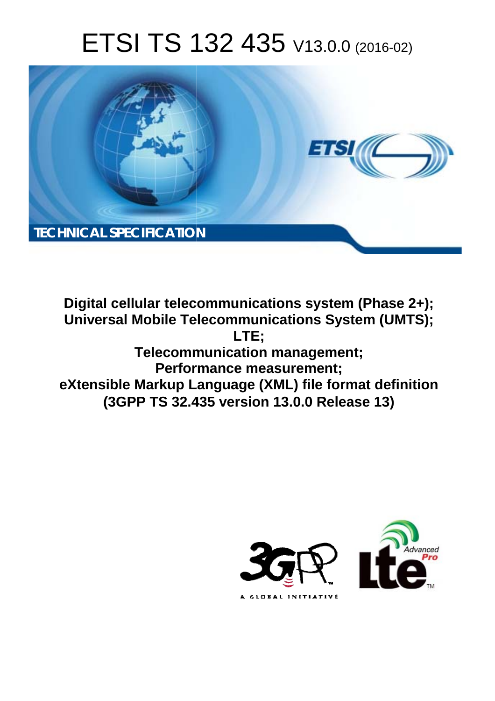# ETSI TS 132 435 V13.0.0 (2016-02)



**Digital cellular telecommunications system (Phase 2+); Universal Mobile Tel elecommunications System ( (UMTS); Telecomm munication management; Perform ormance measurement; eXtensible Markup La Language (XML) file format de definition (3GPP TS 32.4 .435 version 13.0.0 Release 13 13) LTE;** 

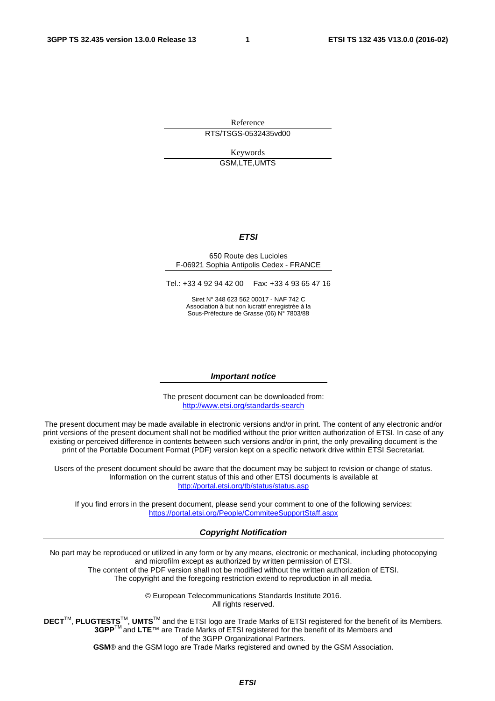Reference RTS/TSGS-0532435vd00

> Keywords GSM,LTE,UMTS

#### *ETSI*

#### 650 Route des Lucioles F-06921 Sophia Antipolis Cedex - FRANCE

Tel.: +33 4 92 94 42 00 Fax: +33 4 93 65 47 16

Siret N° 348 623 562 00017 - NAF 742 C Association à but non lucratif enregistrée à la Sous-Préfecture de Grasse (06) N° 7803/88

#### *Important notice*

The present document can be downloaded from: <http://www.etsi.org/standards-search>

The present document may be made available in electronic versions and/or in print. The content of any electronic and/or print versions of the present document shall not be modified without the prior written authorization of ETSI. In case of any existing or perceived difference in contents between such versions and/or in print, the only prevailing document is the print of the Portable Document Format (PDF) version kept on a specific network drive within ETSI Secretariat.

Users of the present document should be aware that the document may be subject to revision or change of status. Information on the current status of this and other ETSI documents is available at <http://portal.etsi.org/tb/status/status.asp>

If you find errors in the present document, please send your comment to one of the following services: <https://portal.etsi.org/People/CommiteeSupportStaff.aspx>

#### *Copyright Notification*

No part may be reproduced or utilized in any form or by any means, electronic or mechanical, including photocopying and microfilm except as authorized by written permission of ETSI.

The content of the PDF version shall not be modified without the written authorization of ETSI. The copyright and the foregoing restriction extend to reproduction in all media.

> © European Telecommunications Standards Institute 2016. All rights reserved.

**DECT**TM, **PLUGTESTS**TM, **UMTS**TM and the ETSI logo are Trade Marks of ETSI registered for the benefit of its Members. **3GPP**TM and **LTE**™ are Trade Marks of ETSI registered for the benefit of its Members and of the 3GPP Organizational Partners.

**GSM**® and the GSM logo are Trade Marks registered and owned by the GSM Association.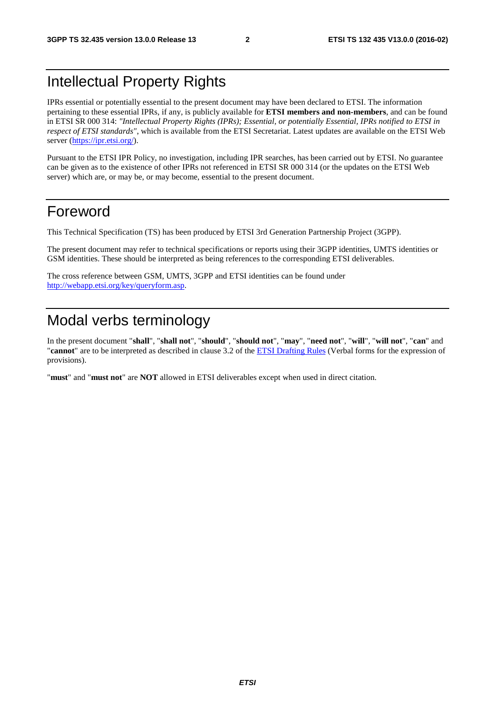#### Intellectual Property Rights

IPRs essential or potentially essential to the present document may have been declared to ETSI. The information pertaining to these essential IPRs, if any, is publicly available for **ETSI members and non-members**, and can be found in ETSI SR 000 314: *"Intellectual Property Rights (IPRs); Essential, or potentially Essential, IPRs notified to ETSI in respect of ETSI standards"*, which is available from the ETSI Secretariat. Latest updates are available on the ETSI Web server ([https://ipr.etsi.org/\)](https://ipr.etsi.org/).

Pursuant to the ETSI IPR Policy, no investigation, including IPR searches, has been carried out by ETSI. No guarantee can be given as to the existence of other IPRs not referenced in ETSI SR 000 314 (or the updates on the ETSI Web server) which are, or may be, or may become, essential to the present document.

#### Foreword

This Technical Specification (TS) has been produced by ETSI 3rd Generation Partnership Project (3GPP).

The present document may refer to technical specifications or reports using their 3GPP identities, UMTS identities or GSM identities. These should be interpreted as being references to the corresponding ETSI deliverables.

The cross reference between GSM, UMTS, 3GPP and ETSI identities can be found under [http://webapp.etsi.org/key/queryform.asp.](http://webapp.etsi.org/key/queryform.asp)

### Modal verbs terminology

In the present document "**shall**", "**shall not**", "**should**", "**should not**", "**may**", "**need not**", "**will**", "**will not**", "**can**" and "**cannot**" are to be interpreted as described in clause 3.2 of the [ETSI Drafting Rules](http://portal.etsi.org/Help/editHelp!/Howtostart/ETSIDraftingRules.aspx) (Verbal forms for the expression of provisions).

"**must**" and "**must not**" are **NOT** allowed in ETSI deliverables except when used in direct citation.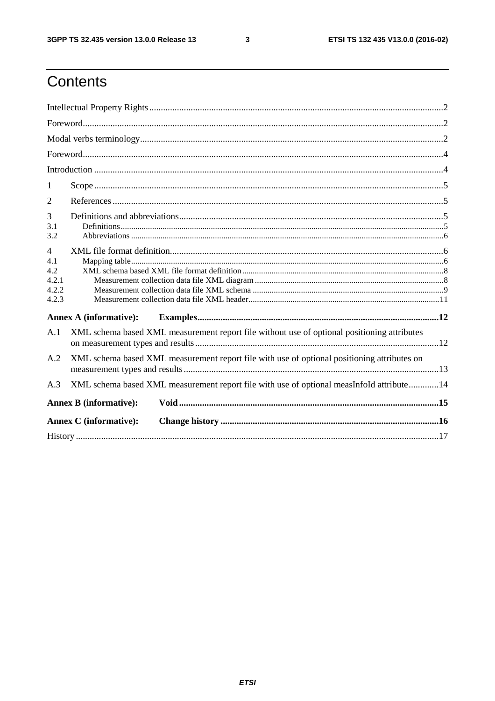$\mathbf{3}$ 

### Contents

| 1                                                       |                                                                                             |  |  |  |  |
|---------------------------------------------------------|---------------------------------------------------------------------------------------------|--|--|--|--|
| $\overline{2}$                                          |                                                                                             |  |  |  |  |
| 3<br>3.1<br>3.2                                         |                                                                                             |  |  |  |  |
| $\overline{4}$<br>4.1<br>4.2<br>4.2.1<br>4.2.2<br>4.2.3 |                                                                                             |  |  |  |  |
|                                                         | <b>Annex A (informative):</b>                                                               |  |  |  |  |
| A.1                                                     | XML schema based XML measurement report file without use of optional positioning attributes |  |  |  |  |
| A.2                                                     | XML schema based XML measurement report file with use of optional positioning attributes on |  |  |  |  |
| A.3                                                     | XML schema based XML measurement report file with use of optional measInfoId attribute14    |  |  |  |  |
|                                                         | <b>Annex B</b> (informative):                                                               |  |  |  |  |
|                                                         | <b>Annex C</b> (informative):                                                               |  |  |  |  |
|                                                         |                                                                                             |  |  |  |  |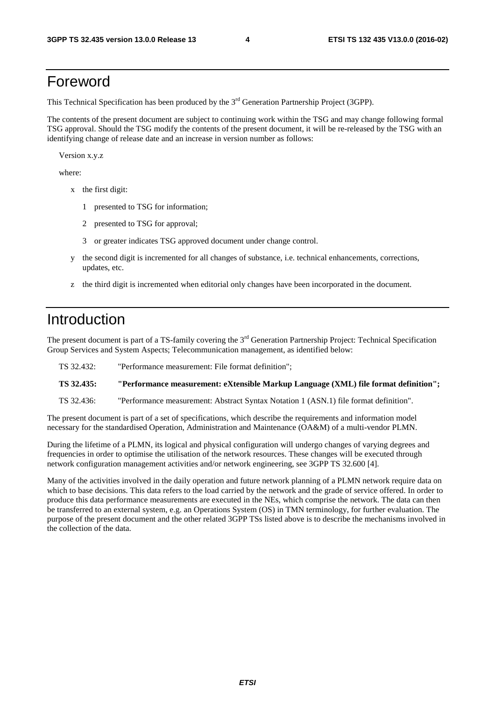#### Foreword

This Technical Specification has been produced by the 3<sup>rd</sup> Generation Partnership Project (3GPP).

The contents of the present document are subject to continuing work within the TSG and may change following formal TSG approval. Should the TSG modify the contents of the present document, it will be re-released by the TSG with an identifying change of release date and an increase in version number as follows:

Version x.y.z

where:

- x the first digit:
	- 1 presented to TSG for information;
	- 2 presented to TSG for approval;
	- 3 or greater indicates TSG approved document under change control.
- y the second digit is incremented for all changes of substance, i.e. technical enhancements, corrections, updates, etc.
- z the third digit is incremented when editorial only changes have been incorporated in the document.

#### Introduction

The present document is part of a TS-family covering the 3<sup>rd</sup> Generation Partnership Project: Technical Specification Group Services and System Aspects; Telecommunication management, as identified below:

| TS 32.432: | "Performance measurement: File format definition":                                  |
|------------|-------------------------------------------------------------------------------------|
| TS 32.435: | "Performance measurement: eXtensible Markup Language (XML) file format definition"; |

TS 32.436: "Performance measurement: Abstract Syntax Notation 1 (ASN.1) file format definition".

The present document is part of a set of specifications, which describe the requirements and information model necessary for the standardised Operation, Administration and Maintenance (OA&M) of a multi-vendor PLMN.

During the lifetime of a PLMN, its logical and physical configuration will undergo changes of varying degrees and frequencies in order to optimise the utilisation of the network resources. These changes will be executed through network configuration management activities and/or network engineering, see 3GPP TS 32.600 [4].

Many of the activities involved in the daily operation and future network planning of a PLMN network require data on which to base decisions. This data refers to the load carried by the network and the grade of service offered. In order to produce this data performance measurements are executed in the NEs, which comprise the network. The data can then be transferred to an external system, e.g. an Operations System (OS) in TMN terminology, for further evaluation. The purpose of the present document and the other related 3GPP TSs listed above is to describe the mechanisms involved in the collection of the data.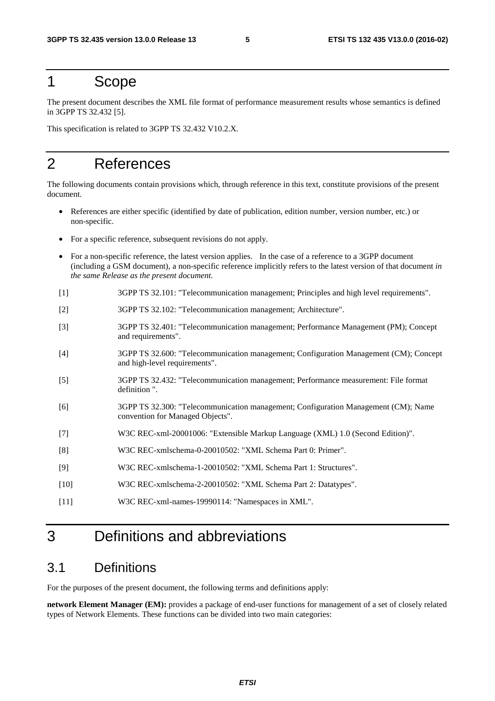#### 1 Scope

The present document describes the XML file format of performance measurement results whose semantics is defined in 3GPP TS 32.432 [5].

This specification is related to 3GPP TS 32.432 V10.2.X.

#### 2 References

The following documents contain provisions which, through reference in this text, constitute provisions of the present document.

- References are either specific (identified by date of publication, edition number, version number, etc.) or non-specific.
- For a specific reference, subsequent revisions do not apply.
- For a non-specific reference, the latest version applies. In the case of a reference to a 3GPP document (including a GSM document), a non-specific reference implicitly refers to the latest version of that document *in the same Release as the present document*.
- [1] 3GPP TS 32.101: "Telecommunication management; Principles and high level requirements".
- [2] 3GPP TS 32.102: "Telecommunication management; Architecture".
- [3] 3GPP TS 32.401: "Telecommunication management; Performance Management (PM); Concept and requirements".
- [4] 3GPP TS 32.600: "Telecommunication management; Configuration Management (CM); Concept and high-level requirements".
- [5] 3GPP TS 32.432: "Telecommunication management; Performance measurement: File format definition ".
- [6] 3GPP TS 32.300: "Telecommunication management; Configuration Management (CM); Name convention for Managed Objects".
- [7] W3C REC-xml-20001006: "Extensible Markup Language (XML) 1.0 (Second Edition)".
- [8] W3C REC-xmlschema-0-20010502: "XML Schema Part 0: Primer".
- [9] W3C REC-xmlschema-1-20010502: "XML Schema Part 1: Structures".
- [10] W3C REC-xmlschema-2-20010502: "XML Schema Part 2: Datatypes".
- [11] W3C REC-xml-names-19990114: "Namespaces in XML".

### 3 Definitions and abbreviations

#### 3.1 Definitions

For the purposes of the present document, the following terms and definitions apply:

**network Element Manager (EM):** provides a package of end-user functions for management of a set of closely related types of Network Elements. These functions can be divided into two main categories: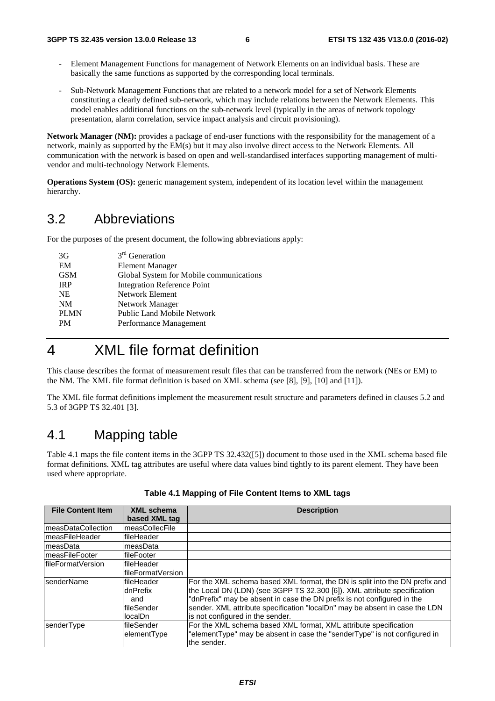- Element Management Functions for management of Network Elements on an individual basis. These are basically the same functions as supported by the corresponding local terminals.
- Sub-Network Management Functions that are related to a network model for a set of Network Elements constituting a clearly defined sub-network, which may include relations between the Network Elements. This model enables additional functions on the sub-network level (typically in the areas of network topology presentation, alarm correlation, service impact analysis and circuit provisioning).

**Network Manager (NM):** provides a package of end-user functions with the responsibility for the management of a network, mainly as supported by the EM(s) but it may also involve direct access to the Network Elements. All communication with the network is based on open and well-standardised interfaces supporting management of multivendor and multi-technology Network Elements.

**Operations System (OS):** generic management system, independent of its location level within the management hierarchy.

#### 3.2 Abbreviations

For the purposes of the present document, the following abbreviations apply:

| 3G          | $3rd$ Generation                        |
|-------------|-----------------------------------------|
| EM          | <b>Element Manager</b>                  |
| <b>GSM</b>  | Global System for Mobile communications |
| <b>IRP</b>  | Integration Reference Point             |
| <b>NE</b>   | Network Element                         |
| <b>NM</b>   | Network Manager                         |
| <b>PLMN</b> | Public Land Mobile Network              |
| <b>PM</b>   | Performance Management                  |
|             |                                         |

#### 4 XML file format definition

This clause describes the format of measurement result files that can be transferred from the network (NEs or EM) to the NM. The XML file format definition is based on XML schema (see [8], [9], [10] and [11]).

The XML file format definitions implement the measurement result structure and parameters defined in clauses 5.2 and 5.3 of 3GPP TS 32.401 [3].

#### 4.1 Mapping table

Table 4.1 maps the file content items in the 3GPP TS 32.432([5]) document to those used in the XML schema based file format definitions. XML tag attributes are useful where data values bind tightly to its parent element. They have been used where appropriate.

| <b>File Content Item</b> | <b>XML</b> schema<br>based XML tag | <b>Description</b>                                                          |
|--------------------------|------------------------------------|-----------------------------------------------------------------------------|
|                          |                                    |                                                                             |
| ImeasDataCollection      | measCollecFile                     |                                                                             |
| ImeasFileHeader          | fileHeader                         |                                                                             |
| <b>ImeasData</b>         | measData                           |                                                                             |
| <b>ImeasFileFooter</b>   | <b>IfileFooter</b>                 |                                                                             |
| IfileFormatVersion       | lfileHeader                        |                                                                             |
|                          | lfileFormatVersion                 |                                                                             |
| <b>IsenderName</b>       | fileHeader                         | For the XML schema based XML format, the DN is split into the DN prefix and |
|                          | dnPrefix                           | the Local DN (LDN) (see 3GPP TS 32.300 [6]). XML attribute specification    |
|                          | and                                | "dnPrefix" may be absent in case the DN prefix is not configured in the     |
|                          | lfileSender                        | sender. XML attribute specification "localDn" may be absent in case the LDN |
|                          | localDn                            | is not configured in the sender.                                            |
| senderType               | lfileSender                        | For the XML schema based XML format, XML attribute specification            |
|                          | elementType                        | "elementType" may be absent in case the "senderType" is not configured in   |
|                          |                                    | the sender.                                                                 |

#### **Table 4.1 Mapping of File Content Items to XML tags**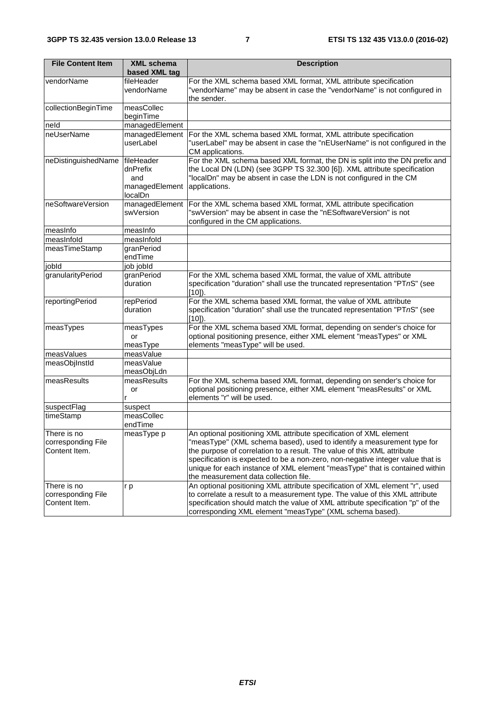| <b>File Content Item</b>                           | <b>XML schema</b><br>based XML tag                         | <b>Description</b>                                                                                                                                                                                                                                                                                                                                                                                                                |
|----------------------------------------------------|------------------------------------------------------------|-----------------------------------------------------------------------------------------------------------------------------------------------------------------------------------------------------------------------------------------------------------------------------------------------------------------------------------------------------------------------------------------------------------------------------------|
| vendorName                                         | fileHeader<br>vendorName                                   | For the XML schema based XML format, XML attribute specification<br>"vendorName" may be absent in case the "vendorName" is not configured in<br>the sender.                                                                                                                                                                                                                                                                       |
| collectionBeginTime                                | measCollec<br>beginTime                                    |                                                                                                                                                                                                                                                                                                                                                                                                                                   |
| neld                                               | managedElement                                             |                                                                                                                                                                                                                                                                                                                                                                                                                                   |
| neUserName                                         | managedElement<br>userLabel                                | For the XML schema based XML format, XML attribute specification<br>"userLabel" may be absent in case the "nEUserName" is not configured in the<br>CM applications.                                                                                                                                                                                                                                                               |
| neDistinguishedName                                | fileHeader<br>dnPrefix<br>and<br>managedElement<br>localDn | For the XML schema based XML format, the DN is split into the DN prefix and<br>the Local DN (LDN) (see 3GPP TS 32.300 [6]). XML attribute specification<br>"localDn" may be absent in case the LDN is not configured in the CM<br>applications.                                                                                                                                                                                   |
| neSoftwareVersion                                  | managedElement<br>swVersion                                | For the XML schema based XML format, XML attribute specification<br>"swVersion" may be absent in case the "nESoftwareVersion" is not<br>configured in the CM applications.                                                                                                                                                                                                                                                        |
| measinfo                                           | measInfo                                                   |                                                                                                                                                                                                                                                                                                                                                                                                                                   |
| measInfold                                         | measInfold                                                 |                                                                                                                                                                                                                                                                                                                                                                                                                                   |
| measTimeStamp                                      | granPeriod<br>endTime                                      |                                                                                                                                                                                                                                                                                                                                                                                                                                   |
| jobld                                              | job jobld                                                  |                                                                                                                                                                                                                                                                                                                                                                                                                                   |
| granularityPeriod                                  | granPeriod<br>duration                                     | For the XML schema based XML format, the value of XML attribute<br>specification "duration" shall use the truncated representation "PTnS" (see<br>$[10]$ .                                                                                                                                                                                                                                                                        |
| reportingPeriod                                    | repPeriod<br>duration                                      | For the XML schema based XML format, the value of XML attribute<br>specification "duration" shall use the truncated representation "PTnS" (see<br>$[10]$ ).                                                                                                                                                                                                                                                                       |
| measTypes                                          | measTypes<br>or<br>measType                                | For the XML schema based XML format, depending on sender's choice for<br>optional positioning presence, either XML element "measTypes" or XML<br>elements "measType" will be used.                                                                                                                                                                                                                                                |
| measValues                                         | measValue                                                  |                                                                                                                                                                                                                                                                                                                                                                                                                                   |
| measObjInstId                                      | measValue<br>measObjLdn                                    |                                                                                                                                                                                                                                                                                                                                                                                                                                   |
| measResults                                        | measResults<br>or<br>r                                     | For the XML schema based XML format, depending on sender's choice for<br>optional positioning presence, either XML element "measResults" or XML<br>elements "r" will be used.                                                                                                                                                                                                                                                     |
| suspectFlag                                        | suspect                                                    |                                                                                                                                                                                                                                                                                                                                                                                                                                   |
| timeStamp                                          | measCollec<br>endTime                                      |                                                                                                                                                                                                                                                                                                                                                                                                                                   |
| There is no<br>corresponding File<br>Content Item. | measType p                                                 | An optional positioning XML attribute specification of XML element<br>"measType" (XML schema based), used to identify a measurement type for<br>the purpose of correlation to a result. The value of this XML attribute<br>specification is expected to be a non-zero, non-negative integer value that is<br>unique for each instance of XML element "measType" that is contained within<br>the measurement data collection file. |
| There is no<br>corresponding File<br>Content Item. | r p                                                        | An optional positioning XML attribute specification of XML element "r", used<br>to correlate a result to a measurement type. The value of this XML attribute<br>specification should match the value of XML attribute specification "p" of the<br>corresponding XML element "measType" (XML schema based).                                                                                                                        |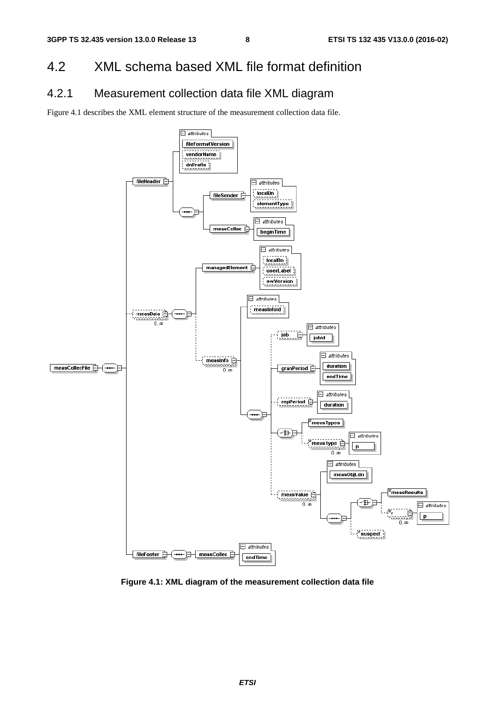#### 4.2 XML schema based XML file format definition

#### 4.2.1 Measurement collection data file XML diagram

Figure 4.1 describes the XML element structure of the measurement collection data file.



**Figure 4.1: XML diagram of the measurement collection data file**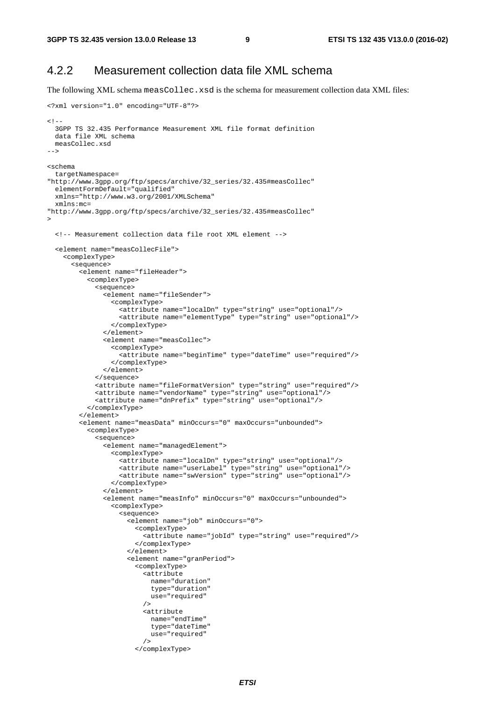<?xml version="1.0" encoding="UTF-8"?>

#### 4.2.2 Measurement collection data file XML schema

The following XML schema measCollec.xsd is the schema for measurement collection data XML files:

```
< ! - - 3GPP TS 32.435 Performance Measurement XML file format definition 
  data file XML schema 
  measCollec.xsd 
--&><schema 
  targetNamespace= 
"http://www.3gpp.org/ftp/specs/archive/32_series/32.435#measCollec" 
 elementFormDefault="qualified"
  xmlns="http://www.w3.org/2001/XMLSchema" 
  xmlns:mc= 
"http://www.3gpp.org/ftp/specs/archive/32_series/32.435#measCollec" 
> 
  <!-- Measurement collection data file root XML element --> 
   <element name="measCollecFile"> 
     <complexType> 
       <sequence> 
         <element name="fileHeader"> 
           <complexType> 
             <sequence> 
               <element name="fileSender"> 
                 <complexType> 
                   <attribute name="localDn" type="string" use="optional"/> 
                   <attribute name="elementType" type="string" use="optional"/> 
                 </complexType> 
               </element> 
               <element name="measCollec"> 
                 <complexType> 
                   <attribute name="beginTime" type="dateTime" use="required"/> 
                 </complexType> 
               </element> 
             </sequence> 
             <attribute name="fileFormatVersion" type="string" use="required"/> 
             <attribute name="vendorName" type="string" use="optional"/> 
             <attribute name="dnPrefix" type="string" use="optional"/> 
           </complexType> 
         </element> 
         <element name="measData" minOccurs="0" maxOccurs="unbounded"> 
           <complexType> 
             <sequence> 
               <element name="managedElement"> 
                 <complexType> 
                   <attribute name="localDn" type="string" use="optional"/> 
 <attribute name="userLabel" type="string" use="optional"/> 
 <attribute name="swVersion" type="string" use="optional"/> 
                 </complexType> 
               </element> 
               <element name="measInfo" minOccurs="0" maxOccurs="unbounded"> 
                 <complexType> 
                   <sequence> 
                     <element name="job" minOccurs="0"> 
                       <complexType> 
                         <attribute name="jobId" type="string" use="required"/> 
                        </complexType> 
                     </element> 
                     <element name="granPeriod"> 
                        <complexType> 
                         <attribute 
                           name="duration" 
                           type="duration" 
                           use="required" 
 /> 
                          <attribute 
                           name="endTime" 
                            type="dateTime" 
                           use="required" 
 /> 
                        </complexType>
```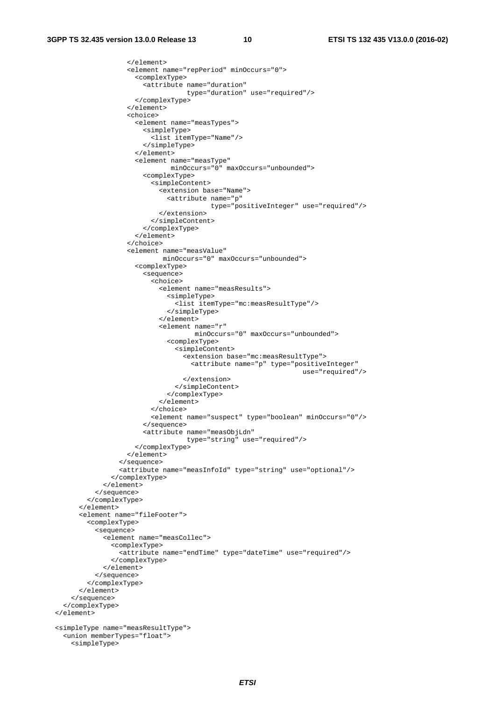```
 </element> 
                     <element name="repPeriod" minOccurs="0"> 
                       <complexType> 
                         <attribute name="duration" 
                                     type="duration" use="required"/> 
                       </complexType> 
                     </element> 
                     <choice> 
                       <element name="measTypes"> 
                         <simpleType> 
                           <list itemType="Name"/> 
                         </simpleType> 
                       </element> 
                       <element name="measType" 
                                minOccurs="0" maxOccurs="unbounded"> 
                         <complexType> 
                            <simpleContent> 
                              <extension base="Name"> 
                                <attribute name="p" 
                                            type="positiveInteger" use="required"/> 
                              </extension> 
                           </simpleContent> 
                         </complexType> 
                       </element> 
                     </choice> 
                     <element name="measValue" 
                              minOccurs="0" maxOccurs="unbounded"> 
                       <complexType> 
                         <sequence> 
                           <choice> 
                              <element name="measResults"> 
                                <simpleType> 
                                   <list itemType="mc:measResultType"/> 
                                </simpleType> 
                             \epsilon/element>
                              <element name="r" 
                                       minOccurs="0" maxOccurs="unbounded"> 
                                <complexType> 
                                  <simpleContent> 
                                    <extension base="mc:measResultType"> 
                                       <attribute name="p" type="positiveInteger" 
                                                                      use="required"/> 
                                    </extension> 
                                  </simpleContent> 
                                </complexType> 
                              </element> 
                            </choice> 
                            <element name="suspect" type="boolean" minOccurs="0"/> 
                         </sequence> 
                         <attribute name="measObjLdn" 
                                     type="string" use="required"/> 
                       </complexType> 
                     </element> 
                   </sequence> 
                   <attribute name="measInfoId" type="string" use="optional"/> 
                </complexType> 
             \epsilon/element>
            </sequence> 
          </complexType> 
       </element> 
       <element name="fileFooter"> 
         <complexType> 
           <sequence> 
              <element name="measCollec"> 
                <complexType> 
                   <attribute name="endTime" type="dateTime" use="required"/> 
                </complexType> 
              </element> 
            </sequence> 
         </complexType> 
       </element> 
     </sequence> 
   </complexType> 
 </element> 
 <simpleType name="measResultType"> 
   <union memberTypes="float"> 
     <simpleType>
```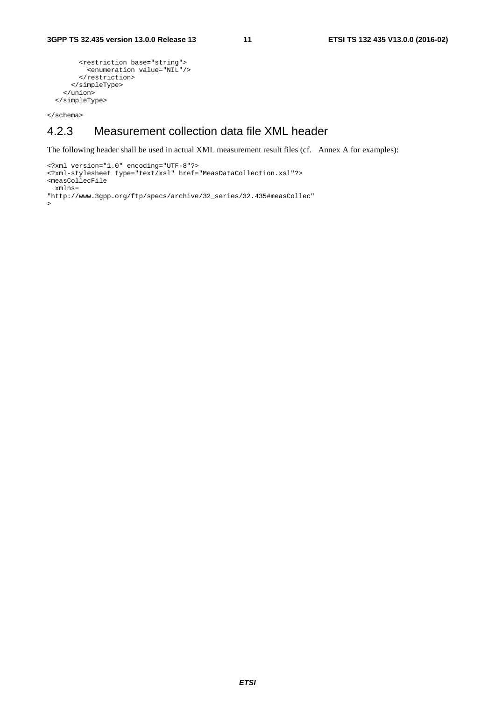```
 <restriction base="string"> 
         <enumeration value="NIL"/> 
       </restriction> 
     </simpleType> 
   </union> 
 </simpleType>
```
</schema>

#### 4.2.3 Measurement collection data file XML header

The following header shall be used in actual XML measurement result files (cf. Annex A for examples):

```
<?xml version="1.0" encoding="UTF-8"?> 
<?xml-stylesheet type="text/xsl" href="MeasDataCollection.xsl"?> 
<measCollecFile 
  xmlns= 
"http://www.3gpp.org/ftp/specs/archive/32_series/32.435#measCollec" 
>
```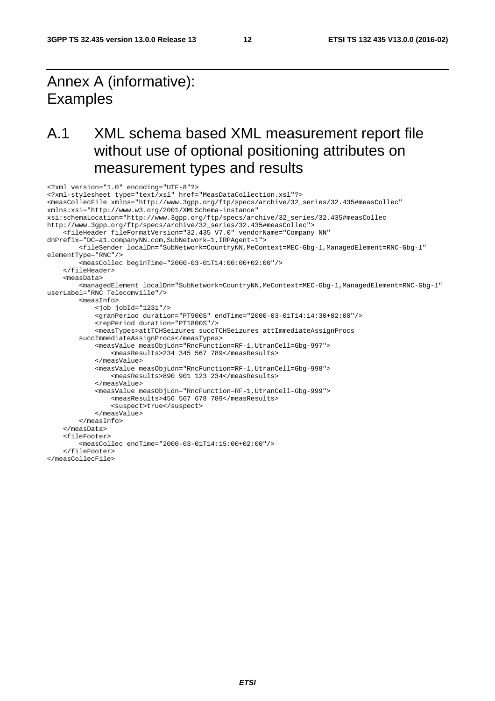### Annex A (informative): **Examples**

### A.1 XML schema based XML measurement report file without use of optional positioning attributes on measurement types and results

```
<?xml version="1.0" encoding="UTF-8"?> 
<?xml-stylesheet type="text/xsl" href="MeasDataCollection.xsl"?> 
<measCollecFile xmlns="http://www.3gpp.org/ftp/specs/archive/32_series/32.435#measCollec" 
xmlns:xsi="http://www.w3.org/2001/XMLSchema-instance" 
xsi:schemaLocation="http://www.3gpp.org/ftp/specs/archive/32_series/32.435#measCollec 
http://www.3gpp.org/ftp/specs/archive/32_series/32.435#measCollec"> 
     <fileHeader fileFormatVersion="32.435 V7.0" vendorName="Company NN" 
dnPrefix="DC=a1.companyNN.com,SubNetwork=1,IRPAgent=1"> 
         <fileSender localDn="SubNetwork=CountryNN,MeContext=MEC-Gbg-1,ManagedElement=RNC-Gbg-1" 
elementType="RNC"/> 
         <measCollec beginTime="2000-03-01T14:00:00+02:00"/> 
     </fileHeader> 
     <measData> 
         <managedElement localDn="SubNetwork=CountryNN,MeContext=MEC-Gbg-1,ManagedElement=RNC-Gbg-1" 
userLabel="RNC Telecomville"/> 
         <measInfo> 
             <job jobId="1231"/> 
             <granPeriod duration="PT900S" endTime="2000-03-01T14:14:30+02:00"/> 
             <repPeriod duration="PT1800S"/> 
             <measTypes>attTCHSeizures succTCHSeizures attImmediateAssignProcs 
         succImmediateAssignProcs</measTypes> 
             <measValue measObjLdn="RncFunction=RF-1,UtranCell=Gbg-997"> 
                  <measResults>234 345 567 789</measResults> 
             </measValue> 
              <measValue measObjLdn="RncFunction=RF-1,UtranCell=Gbg-998"> 
                  <measResults>890 901 123 234</measResults> 
             </measValue> 
             <measValue measObjLdn="RncFunction=RF-1,UtranCell=Gbg-999"> 
                  <measResults>456 567 678 789</measResults> 
                  <suspect>true</suspect> 
             </measValue> 
         </measInfo> 
     </measData> 
     <fileFooter> 
         <measCollec endTime="2000-03-01T14:15:00+02:00"/> 
     </fileFooter> 
</measCollecFile>
```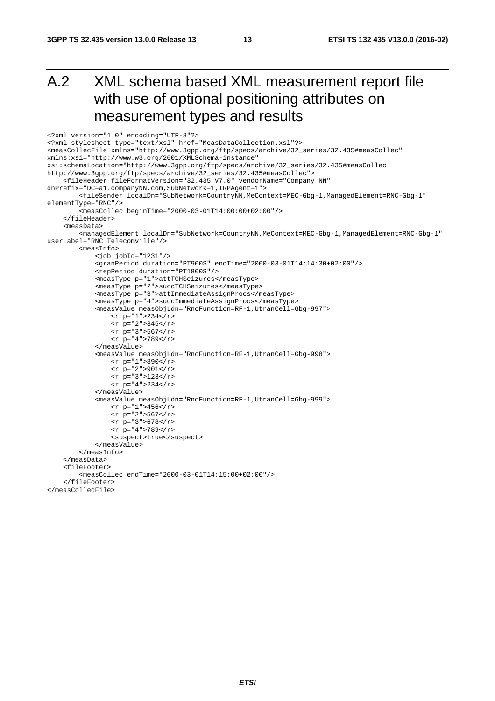### A.2 XML schema based XML measurement report file with use of optional positioning attributes on measurement types and results

```
<?xml version="1.0" encoding="UTF-8"?> 
<?xml-stylesheet type="text/xsl" href="MeasDataCollection.xsl"?> 
<measCollecFile xmlns="http://www.3gpp.org/ftp/specs/archive/32_series/32.435#measCollec" 
xmlns:xsi="http://www.w3.org/2001/XMLSchema-instance" 
xsi:schemaLocation="http://www.3gpp.org/ftp/specs/archive/32_series/32.435#measCollec 
http://www.3gpp.org/ftp/specs/archive/32_series/32.435#measCollec"> 
     <fileHeader fileFormatVersion="32.435 V7.0" vendorName="Company NN" 
dnPrefix="DC=a1.companyNN.com,SubNetwork=1,IRPAgent=1"> 
          <fileSender localDn="SubNetwork=CountryNN,MeContext=MEC-Gbg-1,ManagedElement=RNC-Gbg-1" 
elementType="RNC"/> 
          <measCollec beginTime="2000-03-01T14:00:00+02:00"/> 
     </fileHeader> 
     <measData> 
        <managedElement localDn="SubNetwork=CountryNN,MeContext=MEC-Gbg-1,ManagedElement=RNC-Gbg-1"
userLabel="RNC Telecomville"/> 
         <measInfo> 
              <job jobId="1231"/> 
              <granPeriod duration="PT900S" endTime="2000-03-01T14:14:30+02:00"/> 
              <repPeriod duration="PT1800S"/> 
              <measType p="1">attTCHSeizures</measType> 
              <measType p="2">succTCHSeizures</measType> 
              <measType p="3">attImmediateAssignProcs</measType> 
              <measType p="4">succImmediateAssignProcs</measType> 
              <measValue measObjLdn="RncFunction=RF-1,UtranCell=Gbg-997"> 
                 <r p="1">234</r>
                  <r p="2">345</r> 
                 \langle r \rangle p="3">567</r>
                  <r p="4">789</r> 
              </measValue> 
              <measValue measObjLdn="RncFunction=RF-1,UtranCell=Gbg-998"> 
                 \langle r \rangle p="1">890</r>
                 \frac{1}{x} p="2">901</r>
                 \frac{1}{2} = "3">123</r>
                 \frac{1}{2} p="4">234</r>
              </measValue> 
              <measValue measObjLdn="RncFunction=RF-1,UtranCell=Gbg-999"> 
                 \langle r \rangle p="1">456</r>
                 <r p="2">567</r>
                  <r p="3">678</r> 
                  <r p="4">789</r> 
                 <suspect>true</suspect>
              </measValue> 
         </measInfo> 
     </measData> 
     <fileFooter> 
         <measCollec endTime="2000-03-01T14:15:00+02:00"/> 
     </fileFooter> 
</measCollecFile>
```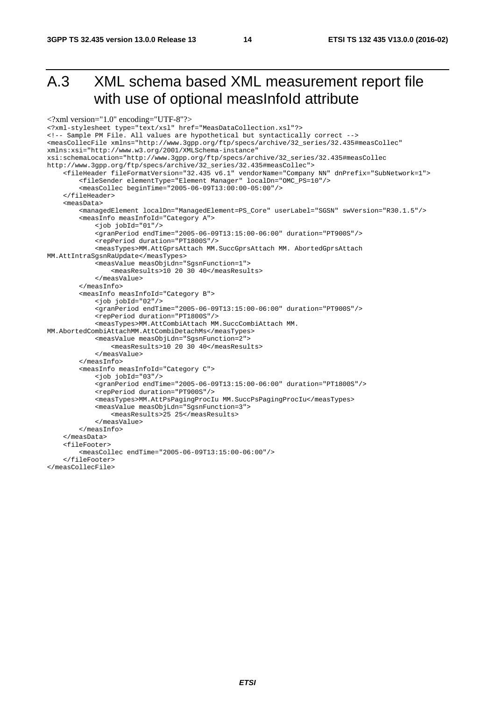### A.3 XML schema based XML measurement report file with use of optional measInfoId attribute

```
<?xml version="1.0" encoding="UTF-8"?>
<?xml-stylesheet type="text/xsl" href="MeasDataCollection.xsl"?> 
<!-- Sample PM File. All values are hypothetical but syntactically correct --> 
<measCollecFile xmlns="http://www.3gpp.org/ftp/specs/archive/32_series/32.435#measCollec" 
xmlns:xsi="http://www.w3.org/2001/XMLSchema-instance" 
xsi:schemaLocation="http://www.3gpp.org/ftp/specs/archive/32_series/32.435#measCollec 
http://www.3gpp.org/ftp/specs/archive/32_series/32.435#measCollec"> 
     <fileHeader fileFormatVersion="32.435 v6.1" vendorName="Company NN" dnPrefix="SubNetwork=1"> 
         <fileSender elementType="Element Manager" localDn="OMC_PS=10"/> 
         <measCollec beginTime="2005-06-09T13:00:00-05:00"/> 
     </fileHeader> 
     <measData> 
         <managedElement localDn="ManagedElement=PS_Core" userLabel="SGSN" swVersion="R30.1.5"/> 
         <measInfo measInfoId="Category A"> 
             <job jobId="01"/> 
              <granPeriod endTime="2005-06-09T13:15:00-06:00" duration="PT900S"/> 
             <repPeriod duration="PT1800S"/> 
             <measTypes>MM.AttGprsAttach MM.SuccGprsAttach MM. AbortedGprsAttach 
MM.AttIntraSgsnRaUpdate</measTypes> 
             <measValue measObjLdn="SgsnFunction=1"> 
                 <measResults>10 20 30 40</measResults> 
             </measValue> 
         </measInfo> 
         <measInfo measInfoId="Category B"> 
             <job jobId="02"/> 
             <granPeriod endTime="2005-06-09T13:15:00-06:00" duration="PT900S"/> 
             <repPeriod duration="PT1800S"/> 
             <measTypes>MM.AttCombiAttach MM.SuccCombiAttach MM. 
MM.AbortedCombiAttachMM.AttCombiDetachMs</measTypes> 
             <measValue measObjLdn="SgsnFunction=2"> 
                 <measResults>10 20 30 40</measResults> 
             </measValue> 
         </measInfo> 
         <measInfo measInfoId="Category C"> 
             <job jobId="03"/> 
             <granPeriod endTime="2005-06-09T13:15:00-06:00" duration="PT1800S"/> 
             <repPeriod duration="PT900S"/> 
             <measTypes>MM.AttPsPagingProcIu MM.SuccPsPagingProcIu</measTypes> 
             <measValue measObjLdn="SgsnFunction=3"> 
                  <measResults>25 25</measResults> 
             </measValue> 
         </measInfo> 
     </measData> 
     <fileFooter> 
         <measCollec endTime="2005-06-09T13:15:00-06:00"/> 
     </fileFooter> 
</measCollecFile>
```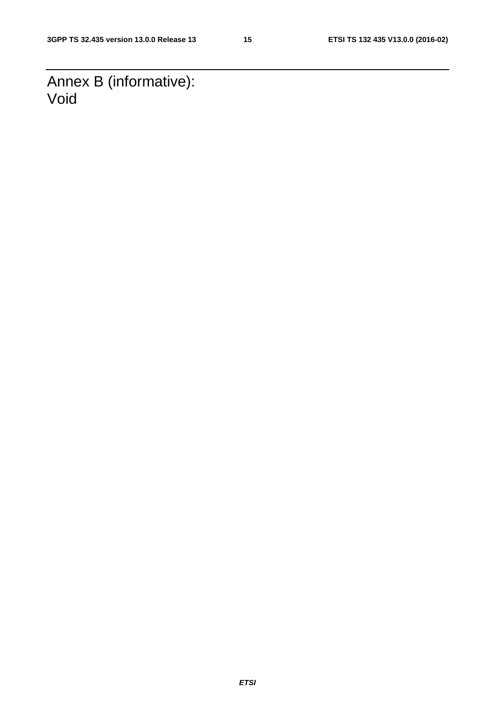Annex B (informative): Void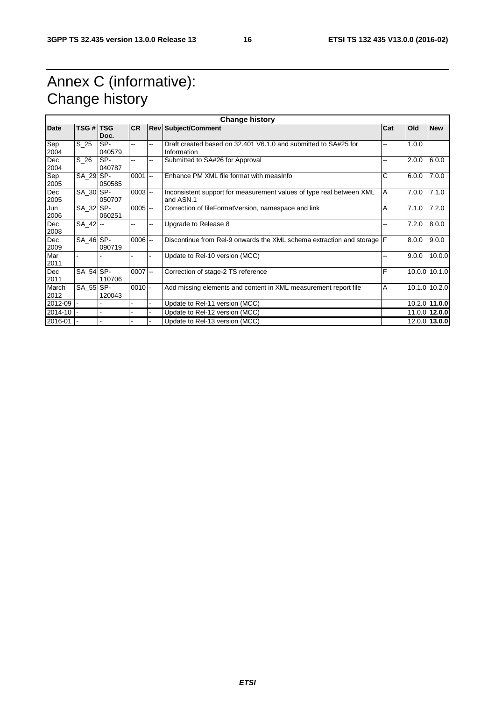### Annex C (informative): Change history

| <b>Change history</b> |                 |               |            |        |                                                                                   |       |       |               |
|-----------------------|-----------------|---------------|------------|--------|-----------------------------------------------------------------------------------|-------|-------|---------------|
| <b>Date</b>           | TSG # TSG       | Doc.          | <b>CR</b>  |        | <b>Rev Subject/Comment</b>                                                        | Cat   | Old   | <b>New</b>    |
| Sep<br>2004           | $S_2$ 25        | SP-<br>040579 | Щ,         | --     | Draft created based on 32.401 V6.1.0 and submitted to SA#25 for<br>Information    |       | 1.0.0 |               |
| Dec<br>2004           | S <sub>26</sub> | SP-<br>040787 | Ξ.         | --     | Submitted to SA#26 for Approval                                                   | --    | 2.0.0 | 6.0.0         |
| Sep<br>2005           | SA_29 SP-       | 050585        | 0001       | $\sim$ | Enhance PM XML file format with measinfo                                          | C     | 6.0.0 | 7.0.0         |
| Dec<br>2005           | SA 30 SP-       | 050707        | $0003$ $-$ |        | Inconsistent support for measurement values of type real between XML<br>and ASN.1 | A     | 7.0.0 | 7.1.0         |
| Jun<br>2006           | $SA$ 32 $SP-$   | 060251        | $0005$ $-$ |        | Correction of fileFormatVersion, namespace and link                               | A     | 7.1.0 | 7.2.0         |
| Dec<br>2008           | SA_42 --        |               | н.         | --     | Upgrade to Release 8                                                              | $- -$ | 7.2.0 | 8.0.0         |
| Dec<br>2009           | $SA_46$ $SP-$   | 090719        | $0006$ --  |        | Discontinue from Rel-9 onwards the XML schema extraction and storage F            |       | 8.0.0 | 9.0.0         |
| Mar<br>2011           |                 |               |            | ä,     | Update to Rel-10 version (MCC)                                                    | --    | 9.0.0 | 10.0.0        |
| Dec<br>2011           | SA_54 SP-       | 110706        | $0007$ --  |        | Correction of stage-2 TS reference                                                | F     |       | 10.0.0 10.1.0 |
| March<br>2012         | SA 55 SP-       | 120043        | $0010$ -   |        | Add missing elements and content in XML measurement report file                   | A     |       | 10.1.0 10.2.0 |
| 2012-09               |                 |               |            |        | Update to Rel-11 version (MCC)                                                    |       |       | 10.2.0 11.0.0 |
| 2014-10               |                 |               |            |        | Update to Rel-12 version (MCC)                                                    |       |       | 11.0.0 12.0.0 |
| 2016-01               |                 |               |            |        | Update to Rel-13 version (MCC)                                                    |       |       | 12.0.0 13.0.0 |